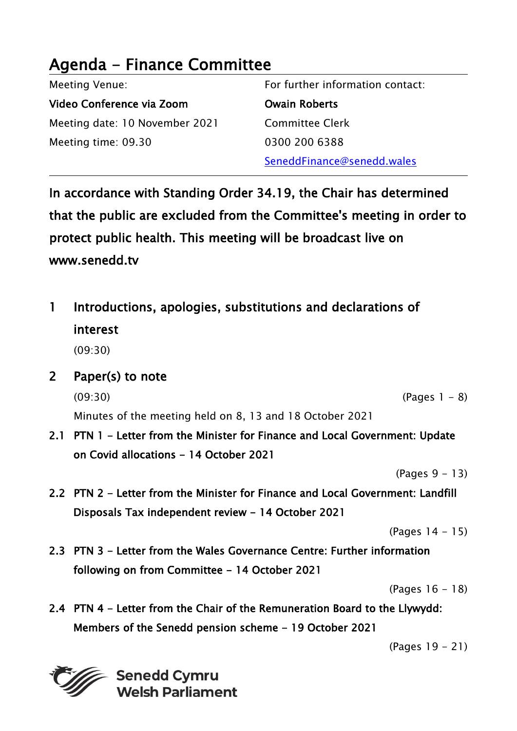#### Agenda - Finance Committee Meeting Venue: Video Conference via Zoom Meeting date: 10 November 2021 Meeting time: 09.30 For further information contact: Owain Roberts Committee Clerk 0300 200 6388 SeneddFinance@senedd.wales

In accordance with Standing Order 34.19, the Chair has determined that the public are excluded from the Committee's meeting in order to protect public health. This meeting will be broadcast live on www.senedd.tv

1 Introductions, apologies, substitutions and declarations of interest

(09:30)

2 Paper(s) to note

 $(09:30)$  (Pages 1 – 8)

Minutes of the meeting held on 8, 13 and 18 October 2021

2.1 PTN 1 - Letter from the Minister for Finance and Local Government: Update on Covid allocations - 14 October 2021

(Pages 9 - 13)

2.2 PTN 2 - Letter from the Minister for Finance and Local Government: Landfill Disposals Tax independent review - 14 October 2021

(Pages 14 - 15)

2.3 PTN 3 - Letter from the Wales Governance Centre: Further information following on from Committee - 14 October 2021

(Pages 16 - 18)

2.4 PTN 4 - Letter from the Chair of the Remuneration Board to the Llywydd: Members of the Senedd pension scheme - 19 October 2021

(Pages 19 - 21)

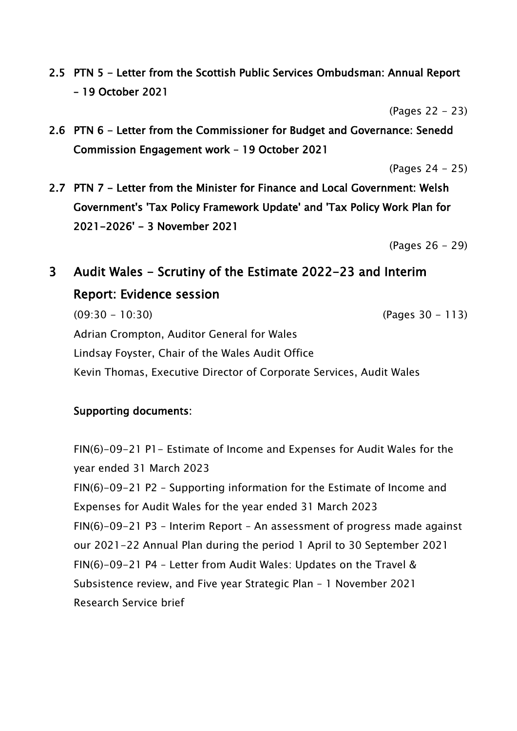2.5 PTN 5 - Letter from the Scottish Public Services Ombudsman: Annual Report – 19 October 2021

(Pages 22 - 23)

2.6 PTN 6 - Letter from the Commissioner for Budget and Governance: Senedd Commission Engagement work – 19 October 2021

(Pages 24 - 25)

2.7 PTN 7 - Letter from the Minister for Finance and Local Government: Welsh Government's 'Tax Policy Framework Update' and 'Tax Policy Work Plan for 2021-2026' - 3 November 2021

(Pages 26 - 29)

# 3 Audit Wales - Scrutiny of the Estimate 2022-23 and Interim Report: Evidence session

(09:30 - 10:30) (Pages 30 - 113) Adrian Crompton, Auditor General for Wales Lindsay Foyster, Chair of the Wales Audit Office Kevin Thomas, Executive Director of Corporate Services, Audit Wales

#### Supporting documents:

FIN(6)-09-21 P1- Estimate of Income and Expenses for Audit Wales for the year ended 31 March 2023 FIN(6)-09-21 P2 – Supporting information for the Estimate of Income and Expenses for Audit Wales for the year ended 31 March 2023 FIN(6)-09-21 P3 – Interim Report – An assessment of progress made against our 2021-22 Annual Plan during the period 1 April to 30 September 2021 FIN(6)-09-21 P4 – Letter from Audit Wales: Updates on the Travel & Subsistence review, and Five year Strategic Plan – 1 November 2021 Research Service brief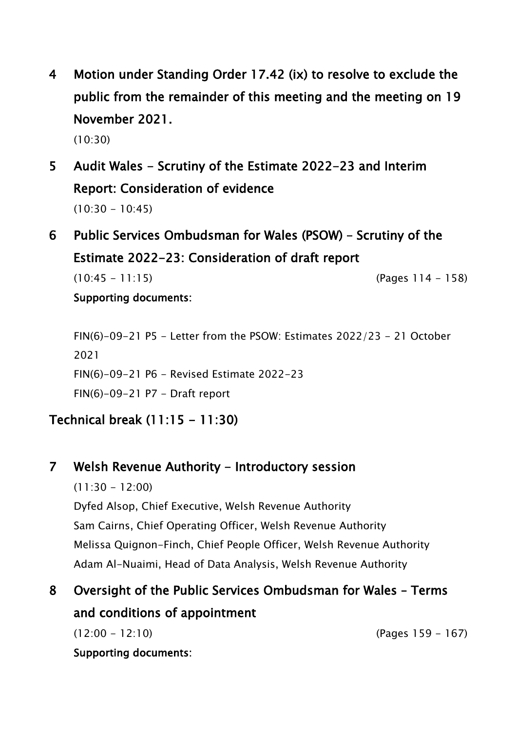4 Motion under Standing Order 17.42 (ix) to resolve to exclude the public from the remainder of this meeting and the meeting on 19 November 2021.

(10:30)

# 5 Audit Wales - Scrutiny of the Estimate 2022-23 and Interim Report: Consideration of evidence  $(10:30 - 10:45)$

6 Public Services Ombudsman for Wales (PSOW) – Scrutiny of the Estimate 2022-23: Consideration of draft report (10:45 - 11:15) (Pages 114 - 158)

Supporting documents:

FIN(6)-09-21 P5 - Letter from the PSOW: Estimates 2022/23 - 21 October 2021 FIN(6)-09-21 P6 - Revised Estimate 2022-23 FIN(6)-09-21 P7 - Draft report

## Technical break (11:15 - 11:30)

### 7 Welsh Revenue Authority - Introductory session

 $(11:30 - 12:00)$ Dyfed Alsop, Chief Executive, Welsh Revenue Authority Sam Cairns, Chief Operating Officer, Welsh Revenue Authority Melissa Quignon-Finch, Chief People Officer, Welsh Revenue Authority Adam Al-Nuaimi, Head of Data Analysis, Welsh Revenue Authority

# 8 Oversight of the Public Services Ombudsman for Wales – Terms and conditions of appointment

Supporting documents:

(12:00 - 12:10) (Pages 159 - 167)